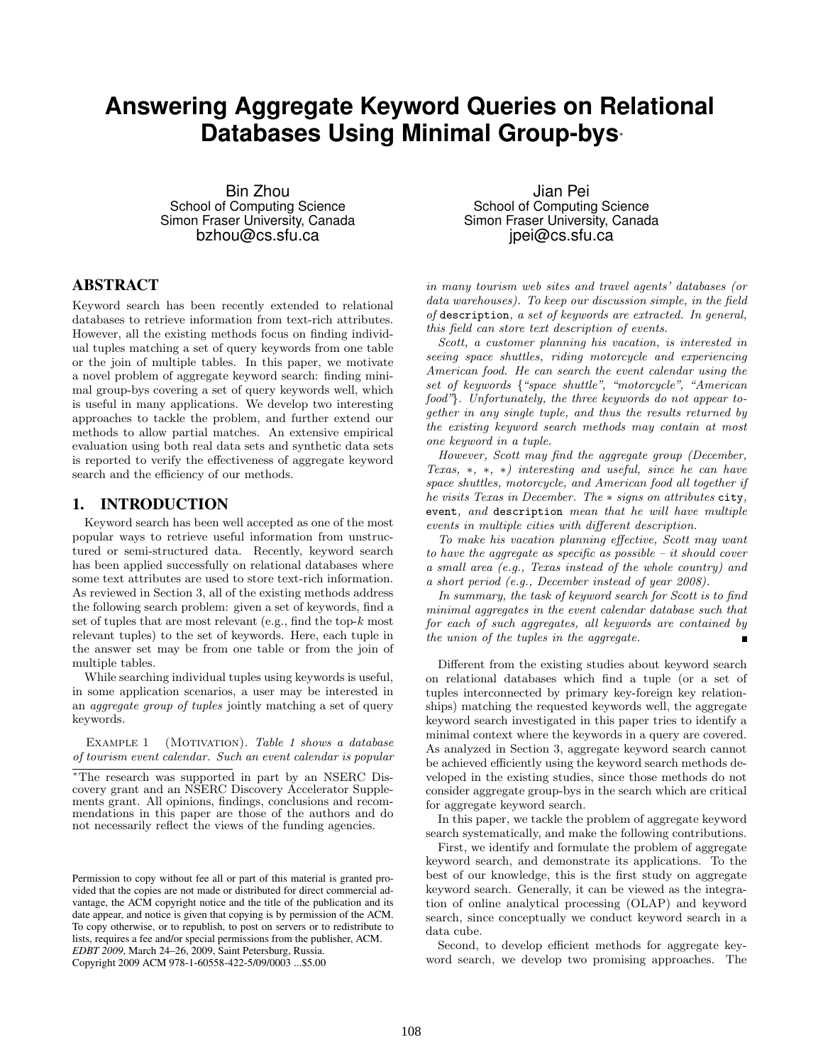# **Answering Aggregate Keyword Queries on Relational Databases Using Minimal Group-bys**<sup>∗</sup>

Bin Zhou School of Computing Science Simon Fraser University, Canada bzhou@cs.sfu.ca

# ABSTRACT

Keyword search has been recently extended to relational databases to retrieve information from text-rich attributes. However, all the existing methods focus on finding individual tuples matching a set of query keywords from one table or the join of multiple tables. In this paper, we motivate a novel problem of aggregate keyword search: finding minimal group-bys covering a set of query keywords well, which is useful in many applications. We develop two interesting approaches to tackle the problem, and further extend our methods to allow partial matches. An extensive empirical evaluation using both real data sets and synthetic data sets is reported to verify the effectiveness of aggregate keyword search and the efficiency of our methods.

# 1. INTRODUCTION

Keyword search has been well accepted as one of the most popular ways to retrieve useful information from unstructured or semi-structured data. Recently, keyword search has been applied successfully on relational databases where some text attributes are used to store text-rich information. As reviewed in Section 3, all of the existing methods address the following search problem: given a set of keywords, find a set of tuples that are most relevant (e.g., find the top- $k$  most relevant tuples) to the set of keywords. Here, each tuple in the answer set may be from one table or from the join of multiple tables.

While searching individual tuples using keywords is useful, in some application scenarios, a user may be interested in an aggregate group of tuples jointly matching a set of query keywords.

EXAMPLE 1 (MOTIVATION). Table 1 shows a database of tourism event calendar. Such an event calendar is popular

Permission to copy without fee all or part of this material is granted provided that the copies are not made or distributed for direct commercial advantage, the ACM copyright notice and the title of the publication and its date appear, and notice is given that copying is by permission of the ACM. To copy otherwise, or to republish, to post on servers or to redistribute to lists, requires a fee and/or special permissions from the publisher, ACM. *EDBT 2009*, March 24–26, 2009, Saint Petersburg, Russia. Copyright 2009 ACM 978-1-60558-422-5/09/0003 ...\$5.00

Jian Pei School of Computing Science Simon Fraser University, Canada jpei@cs.sfu.ca

in many tourism web sites and travel agents' databases (or data warehouses). To keep our discussion simple, in the field of description, a set of keywords are extracted. In general, this field can store text description of events.

Scott, a customer planning his vacation, is interested in seeing space shuttles, riding motorcycle and experiencing American food. He can search the event calendar using the set of keywords {"space shuttle", "motorcycle", "American food"}. Unfortunately, the three keywords do not appear together in any single tuple, and thus the results returned by the existing keyword search methods may contain at most one keyword in a tuple.

However, Scott may find the aggregate group (December, Texas, ∗, ∗, ∗) interesting and useful, since he can have space shuttles, motorcycle, and American food all together if he visits Texas in December. The ∗ signs on attributes city, event, and description mean that he will have multiple events in multiple cities with different description.

To make his vacation planning effective, Scott may want to have the aggregate as specific as possible  $-$  it should cover a small area (e.g., Texas instead of the whole country) and a short period (e.g., December instead of year 2008).

In summary, the task of keyword search for Scott is to find minimal aggregates in the event calendar database such that for each of such aggregates, all keywords are contained by the union of the tuples in the aggregate.

Different from the existing studies about keyword search on relational databases which find a tuple (or a set of tuples interconnected by primary key-foreign key relationships) matching the requested keywords well, the aggregate keyword search investigated in this paper tries to identify a minimal context where the keywords in a query are covered. As analyzed in Section 3, aggregate keyword search cannot be achieved efficiently using the keyword search methods developed in the existing studies, since those methods do not consider aggregate group-bys in the search which are critical for aggregate keyword search.

In this paper, we tackle the problem of aggregate keyword search systematically, and make the following contributions.

First, we identify and formulate the problem of aggregate keyword search, and demonstrate its applications. To the best of our knowledge, this is the first study on aggregate keyword search. Generally, it can be viewed as the integration of online analytical processing (OLAP) and keyword search, since conceptually we conduct keyword search in a data cube.

Second, to develop efficient methods for aggregate keyword search, we develop two promising approaches. The

<sup>∗</sup>The research was supported in part by an NSERC Discovery grant and an NSERC Discovery Accelerator Supplements grant. All opinions, findings, conclusions and recommendations in this paper are those of the authors and do not necessarily reflect the views of the funding agencies.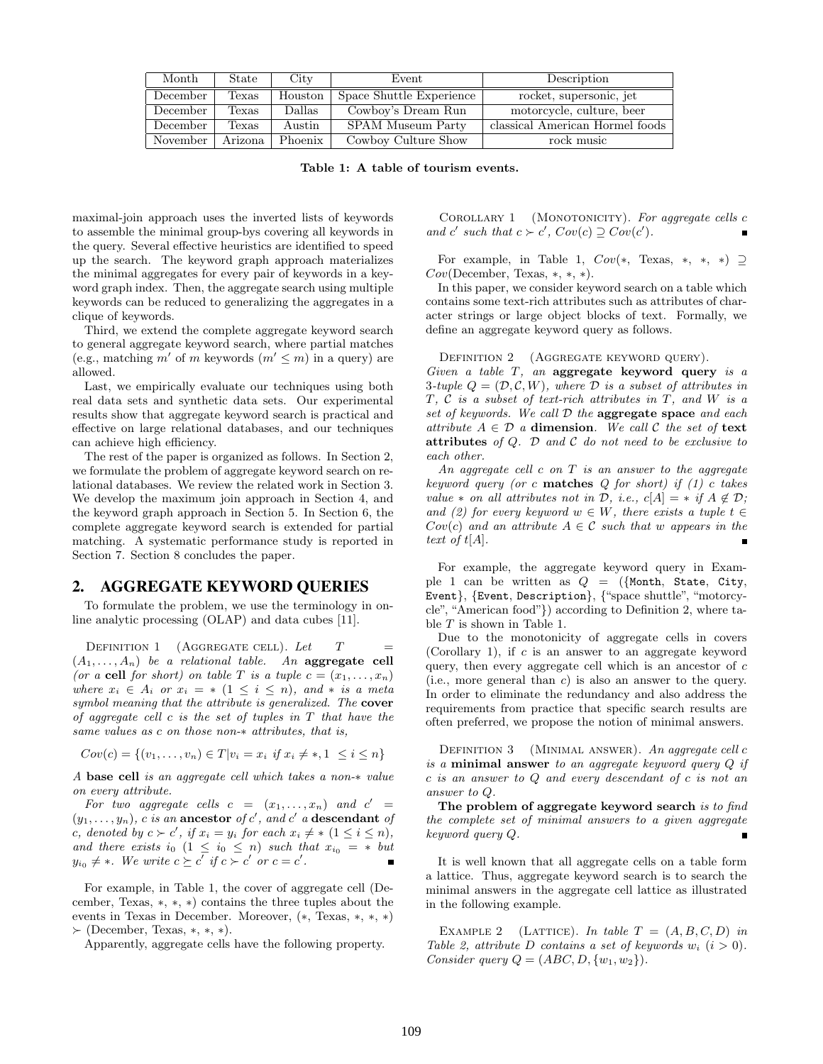| Month    | State     | City    | Event                    | Description                     |
|----------|-----------|---------|--------------------------|---------------------------------|
| December | Texas     | Houston | Space Shuttle Experience | rocket, supersonic, jet         |
| December | Texas     | Dallas  | Cowboy's Dream Run       | motorcycle, culture, beer       |
| December | Texas     | Austin  | SPAM Museum Party        | classical American Hormel foods |
| November | Arizona ' | Phoenix | Cowboy Culture Show      | rock music                      |

Table 1: A table of tourism events.

maximal-join approach uses the inverted lists of keywords to assemble the minimal group-bys covering all keywords in the query. Several effective heuristics are identified to speed up the search. The keyword graph approach materializes the minimal aggregates for every pair of keywords in a keyword graph index. Then, the aggregate search using multiple keywords can be reduced to generalizing the aggregates in a clique of keywords.

Third, we extend the complete aggregate keyword search to general aggregate keyword search, where partial matches (e.g., matching m' of m keywords  $(m' \leq m)$  in a query) are allowed.

Last, we empirically evaluate our techniques using both real data sets and synthetic data sets. Our experimental results show that aggregate keyword search is practical and effective on large relational databases, and our techniques can achieve high efficiency.

The rest of the paper is organized as follows. In Section 2, we formulate the problem of aggregate keyword search on relational databases. We review the related work in Section 3. We develop the maximum join approach in Section 4, and the keyword graph approach in Section 5. In Section 6, the complete aggregate keyword search is extended for partial matching. A systematic performance study is reported in Section 7. Section 8 concludes the paper.

# 2. AGGREGATE KEYWORD QUERIES

To formulate the problem, we use the terminology in online analytic processing (OLAP) and data cubes [11].

DEFINITION 1 (AGGREGATE CELL). Let  $T =$  $(A_1, \ldots, A_n)$  be a relational table. An **aggregate cell** (or a cell for short) on table T is a tuple  $c = (x_1, \ldots, x_n)$ where  $x_i \in A_i$  or  $x_i = * (1 \leq i \leq n)$ , and  $*$  is a meta symbol meaning that the attribute is generalized. The cover of aggregate cell  $c$  is the set of tuples in  $T$  that have the same values as c on those non-∗ attributes, that is,

$$
Cov(c) = \{(v_1, \dots, v_n) \in T | v_i = x_i \text{ if } x_i \neq *, 1 \leq i \leq n\}
$$

A base cell is an aggregate cell which takes a non-∗ value on every attribute.

For two aggregate cells  $c = (x_1, \ldots, x_n)$  and  $c' =$  $(y_1, \ldots, y_n)$ , c is an ancestor of c', and c' a descendant of c, denoted by  $c \succ c'$ , if  $x_i = y_i$  for each  $x_i \neq * (1 \leq i \leq n)$ , and there exists io  $(1 \leq i_0 \leq n)$  such that  $x_{i_0} = *$  but  $y_{i_0} \neq *$ . We write  $c \succeq c'$  if  $c \succ c'$  or  $c = c'$ .

For example, in Table 1, the cover of aggregate cell (December, Texas, ∗, ∗, ∗) contains the three tuples about the events in Texas in December. Moreover, (∗, Texas, ∗, ∗, ∗)  $\succ$  (December, Texas, \*, \*, \*).

Apparently, aggregate cells have the following property.

COROLLARY 1 (MONOTONICITY). For aggregate cells  $c$ and c' such that  $c \succ c'$ ,  $Cov(c) \supseteq Cov(c')$ .

For example, in Table 1,  $Cov(*, \text{Texas}, *, *, *) \supseteq$  $Cov(\text{December, Texas, *, *, *}).$ 

In this paper, we consider keyword search on a table which contains some text-rich attributes such as attributes of character strings or large object blocks of text. Formally, we define an aggregate keyword query as follows.

DEFINITION 2 (AGGREGATE KEYWORD QUERY).

Given a table  $T$ , an aggregate keyword query is a 3-tuple  $Q = (\mathcal{D}, \mathcal{C}, W)$ , where  $\mathcal D$  is a subset of attributes in T, C is a subset of text-rich attributes in T, and W is a set of keywords. We call  $D$  the aggregate space and each attribute  $A \in \mathcal{D}$  a **dimension**. We call  $\mathcal{C}$  the set of **text** attributes of  $Q$ .  $D$  and  $C$  do not need to be exclusive to each other.

An aggregate cell  $c$  on  $T$  is an answer to the aggregate keyword query (or c matches  $Q$  for short) if  $(1)$  c takes value \* on all attributes not in  $D$ , i.e.,  $c[A] = * if A \notin D$ ; and (2) for every keyword  $w \in W$ , there exists a tuple  $t \in$  $Cov(c)$  and an attribute  $A \in \mathcal{C}$  such that w appears in the text of  $t[A]$ .

For example, the aggregate keyword query in Example 1 can be written as  $Q = (\{Month, State, City,$ Event}, {Event, Description}, {"space shuttle", "motorcycle", "American food"}) according to Definition 2, where table T is shown in Table 1.

Due to the monotonicity of aggregate cells in covers (Corollary 1), if  $c$  is an answer to an aggregate keyword query, then every aggregate cell which is an ancestor of  $c$ (i.e., more general than c) is also an answer to the query. In order to eliminate the redundancy and also address the requirements from practice that specific search results are often preferred, we propose the notion of minimal answers.

DEFINITION 3 (MINIMAL ANSWER). An aggregate cell c is a **minimal answer** to an aggregate keyword query  $Q$  if c is an answer to Q and every descendant of c is not an answer to Q.

The problem of aggregate keyword search is to find the complete set of minimal answers to a given aggregate keyword query Q.

It is well known that all aggregate cells on a table form a lattice. Thus, aggregate keyword search is to search the minimal answers in the aggregate cell lattice as illustrated in the following example.

EXAMPLE 2 (LATTICE). In table  $T = (A, B, C, D)$  in Table 2, attribute D contains a set of keywords  $w_i$   $(i > 0)$ . Consider query  $Q = (ABC, D, \{w_1, w_2\})$ .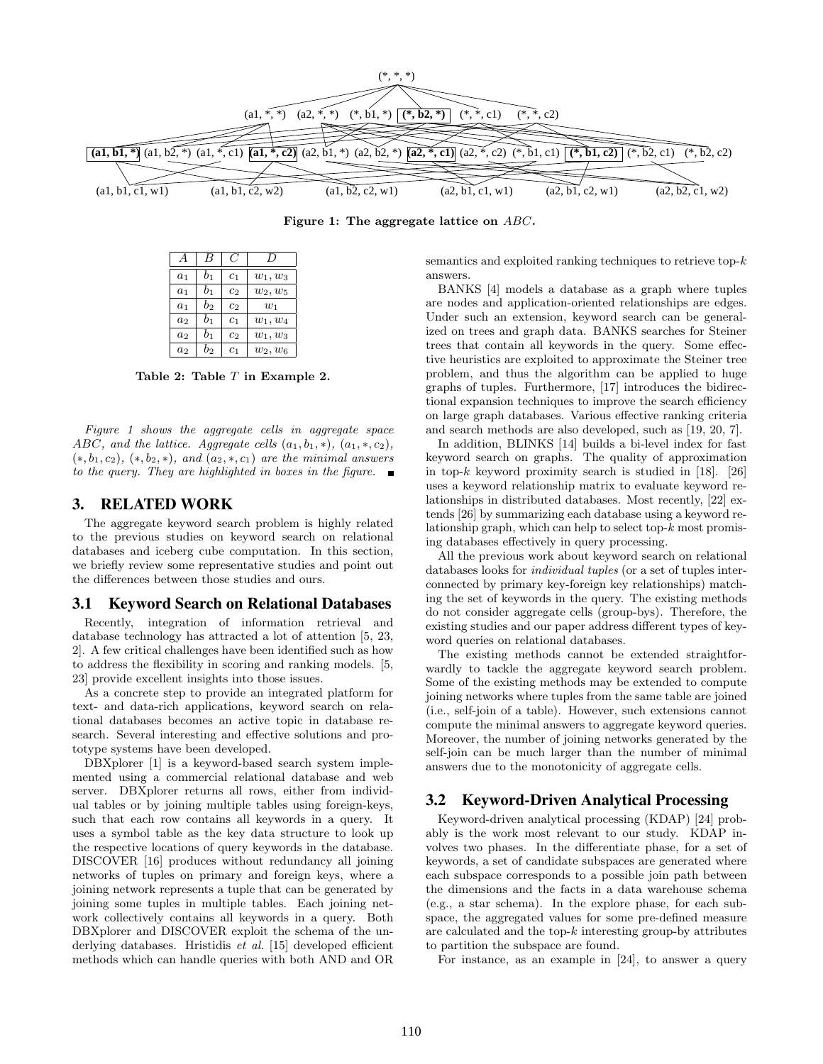

Figure 1: The aggregate lattice on ABC.

|                |       |                | IJ         |
|----------------|-------|----------------|------------|
| a <sub>1</sub> | $b_1$ | c <sub>1</sub> | $w_1, w_3$ |
| $a_1$          | $b_1$ | c <sub>2</sub> | $w_2, w_5$ |
| a <sub>1</sub> | $b_2$ | c <sub>2</sub> | $w_1$      |
| a <sub>2</sub> | $b_1$ | c <sub>1</sub> | $w_1, w_4$ |
| a <sub>2</sub> | $b_1$ | c <sub>2</sub> | $w_1, w_3$ |
| a <sub>2</sub> | $b_2$ | $_{c_1}$       | $w_2, w_6$ |

Table 2: Table T in Example 2.

Figure 1 shows the aggregate cells in aggregate space ABC, and the lattice. Aggregate cells  $(a_1, b_1, *)$ ,  $(a_1, *, c_2)$ ,  $(*, b<sub>1</sub>, c<sub>2</sub>), (*, b<sub>2</sub>, *)$ , and  $(a<sub>2</sub>, *, c<sub>1</sub>)$  are the minimal answers to the query. They are highlighted in boxes in the figure.  $\blacksquare$ 

# 3. RELATED WORK

The aggregate keyword search problem is highly related to the previous studies on keyword search on relational databases and iceberg cube computation. In this section, we briefly review some representative studies and point out the differences between those studies and ours.

#### 3.1 Keyword Search on Relational Databases

Recently, integration of information retrieval and database technology has attracted a lot of attention [5, 23, 2]. A few critical challenges have been identified such as how to address the flexibility in scoring and ranking models. [5, 23] provide excellent insights into those issues.

As a concrete step to provide an integrated platform for text- and data-rich applications, keyword search on relational databases becomes an active topic in database research. Several interesting and effective solutions and prototype systems have been developed.

DBXplorer [1] is a keyword-based search system implemented using a commercial relational database and web server. DBXplorer returns all rows, either from individual tables or by joining multiple tables using foreign-keys, such that each row contains all keywords in a query. It uses a symbol table as the key data structure to look up the respective locations of query keywords in the database. DISCOVER [16] produces without redundancy all joining networks of tuples on primary and foreign keys, where a joining network represents a tuple that can be generated by joining some tuples in multiple tables. Each joining network collectively contains all keywords in a query. Both DBXplorer and DISCOVER exploit the schema of the underlying databases. Hristidis et al. [15] developed efficient methods which can handle queries with both AND and OR semantics and exploited ranking techniques to retrieve top- $k$ answers.

BANKS [4] models a database as a graph where tuples are nodes and application-oriented relationships are edges. Under such an extension, keyword search can be generalized on trees and graph data. BANKS searches for Steiner trees that contain all keywords in the query. Some effective heuristics are exploited to approximate the Steiner tree problem, and thus the algorithm can be applied to huge graphs of tuples. Furthermore, [17] introduces the bidirectional expansion techniques to improve the search efficiency on large graph databases. Various effective ranking criteria and search methods are also developed, such as [19, 20, 7].

In addition, BLINKS [14] builds a bi-level index for fast keyword search on graphs. The quality of approximation in top-k keyword proximity search is studied in [18]. [26] uses a keyword relationship matrix to evaluate keyword relationships in distributed databases. Most recently, [22] extends [26] by summarizing each database using a keyword relationship graph, which can help to select top- $k$  most promising databases effectively in query processing.

All the previous work about keyword search on relational databases looks for individual tuples (or a set of tuples interconnected by primary key-foreign key relationships) matching the set of keywords in the query. The existing methods do not consider aggregate cells (group-bys). Therefore, the existing studies and our paper address different types of keyword queries on relational databases.

The existing methods cannot be extended straightforwardly to tackle the aggregate keyword search problem. Some of the existing methods may be extended to compute joining networks where tuples from the same table are joined (i.e., self-join of a table). However, such extensions cannot compute the minimal answers to aggregate keyword queries. Moreover, the number of joining networks generated by the self-join can be much larger than the number of minimal answers due to the monotonicity of aggregate cells.

# 3.2 Keyword-Driven Analytical Processing

Keyword-driven analytical processing (KDAP) [24] probably is the work most relevant to our study. KDAP involves two phases. In the differentiate phase, for a set of keywords, a set of candidate subspaces are generated where each subspace corresponds to a possible join path between the dimensions and the facts in a data warehouse schema (e.g., a star schema). In the explore phase, for each subspace, the aggregated values for some pre-defined measure are calculated and the top-k interesting group-by attributes to partition the subspace are found.

For instance, as an example in [24], to answer a query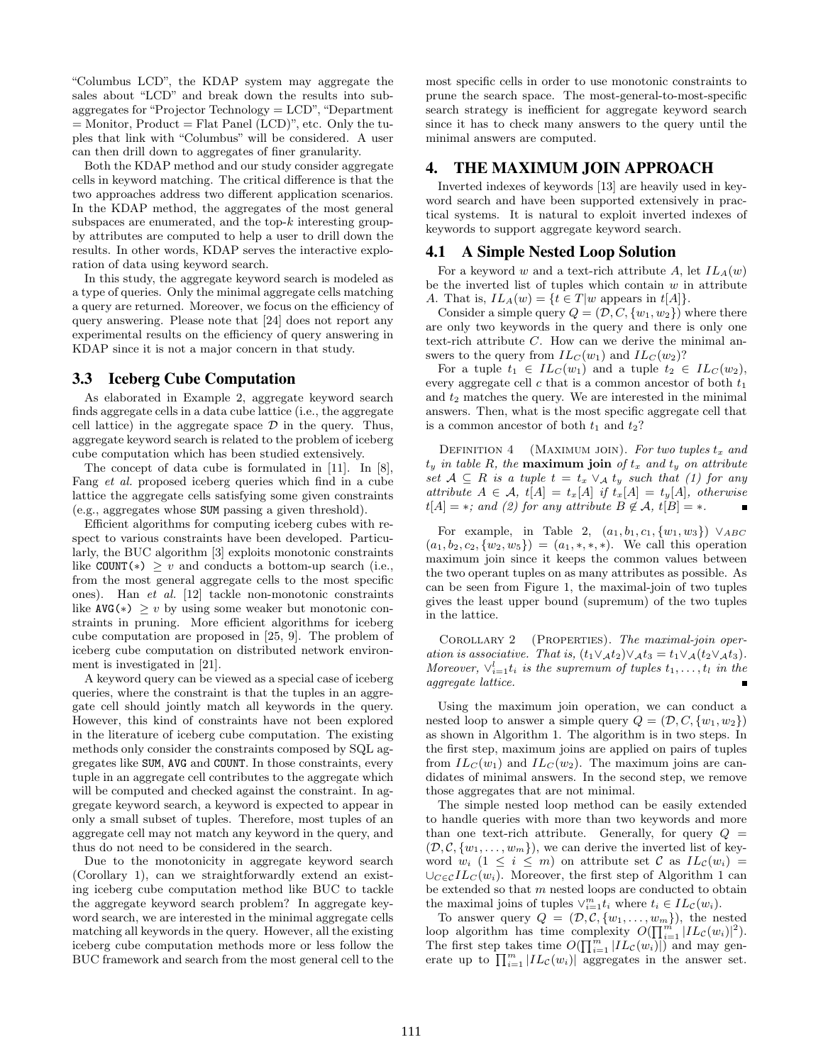"Columbus LCD", the KDAP system may aggregate the sales about "LCD" and break down the results into subaggregates for "Projector Technology = LCD", "Department  $=$  Monitor, Product  $=$  Flat Panel (LCD)", etc. Only the tuples that link with "Columbus" will be considered. A user can then drill down to aggregates of finer granularity.

Both the KDAP method and our study consider aggregate cells in keyword matching. The critical difference is that the two approaches address two different application scenarios. In the KDAP method, the aggregates of the most general subspaces are enumerated, and the top- $k$  interesting groupby attributes are computed to help a user to drill down the results. In other words, KDAP serves the interactive exploration of data using keyword search.

In this study, the aggregate keyword search is modeled as a type of queries. Only the minimal aggregate cells matching a query are returned. Moreover, we focus on the efficiency of query answering. Please note that [24] does not report any experimental results on the efficiency of query answering in KDAP since it is not a major concern in that study.

# 3.3 Iceberg Cube Computation

As elaborated in Example 2, aggregate keyword search finds aggregate cells in a data cube lattice (i.e., the aggregate cell lattice) in the aggregate space  $\mathcal D$  in the query. Thus, aggregate keyword search is related to the problem of iceberg cube computation which has been studied extensively.

The concept of data cube is formulated in [11]. In [8], Fang et al. proposed iceberg queries which find in a cube lattice the aggregate cells satisfying some given constraints (e.g., aggregates whose SUM passing a given threshold).

Efficient algorithms for computing iceberg cubes with respect to various constraints have been developed. Particularly, the BUC algorithm [3] exploits monotonic constraints like COUNT(\*)  $\geq v$  and conducts a bottom-up search (i.e., from the most general aggregate cells to the most specific ones). Han et al. [12] tackle non-monotonic constraints like  $AVG(*) \geq v$  by using some weaker but monotonic constraints in pruning. More efficient algorithms for iceberg cube computation are proposed in [25, 9]. The problem of iceberg cube computation on distributed network environment is investigated in [21].

A keyword query can be viewed as a special case of iceberg queries, where the constraint is that the tuples in an aggregate cell should jointly match all keywords in the query. However, this kind of constraints have not been explored in the literature of iceberg cube computation. The existing methods only consider the constraints composed by SQL aggregates like SUM, AVG and COUNT. In those constraints, every tuple in an aggregate cell contributes to the aggregate which will be computed and checked against the constraint. In aggregate keyword search, a keyword is expected to appear in only a small subset of tuples. Therefore, most tuples of an aggregate cell may not match any keyword in the query, and thus do not need to be considered in the search.

Due to the monotonicity in aggregate keyword search (Corollary 1), can we straightforwardly extend an existing iceberg cube computation method like BUC to tackle the aggregate keyword search problem? In aggregate keyword search, we are interested in the minimal aggregate cells matching all keywords in the query. However, all the existing iceberg cube computation methods more or less follow the BUC framework and search from the most general cell to the

most specific cells in order to use monotonic constraints to prune the search space. The most-general-to-most-specific search strategy is inefficient for aggregate keyword search since it has to check many answers to the query until the minimal answers are computed.

# 4. THE MAXIMUM JOIN APPROACH

Inverted indexes of keywords [13] are heavily used in keyword search and have been supported extensively in practical systems. It is natural to exploit inverted indexes of keywords to support aggregate keyword search.

# 4.1 A Simple Nested Loop Solution

For a keyword w and a text-rich attribute A, let  $IL_A(w)$ be the inverted list of tuples which contain  $w$  in attribute A. That is,  $IL_A(w) = \{t \in T | w \text{ appears in } t[A]\}.$ 

Consider a simple query  $Q = (\mathcal{D}, C, \{w_1, w_2\})$  where there are only two keywords in the query and there is only one text-rich attribute  $C$ . How can we derive the minimal answers to the query from  $IL_C(w_1)$  and  $IL_C(w_2)$ ?

For a tuple  $t_1 \in IL_C(w_1)$  and a tuple  $t_2 \in IL_C(w_2)$ , every aggregate cell  $c$  that is a common ancestor of both  $t_1$ and  $t_2$  matches the query. We are interested in the minimal answers. Then, what is the most specific aggregate cell that is a common ancestor of both  $t_1$  and  $t_2$ ?

DEFINITION 4 (MAXIMUM JOIN). For two tuples  $t_x$  and  $t_y$  in table R, the maximum join of  $t_x$  and  $t_y$  on attribute set  $A \subseteq R$  is a tuple  $t = t_x \vee_A t_y$  such that (1) for any attribute  $A \in \mathcal{A}$ ,  $t[A] = t_x[A]$  if  $t_x[A] = t_y[A]$ , otherwise  $t[A] = *;$  and (2) for any attribute  $B \notin \mathcal{A}$ ,  $t[B] = *$ .

For example, in Table 2,  $(a_1, b_1, c_1, \{w_1, w_3\}) \vee_{ABC}$  $(a_1, b_2, c_2, \{w_2, w_5\}) = (a_1, \ast, \ast, \ast).$  We call this operation maximum join since it keeps the common values between the two operant tuples on as many attributes as possible. As can be seen from Figure 1, the maximal-join of two tuples gives the least upper bound (supremum) of the two tuples in the lattice.

COROLLARY 2 (PROPERTIES). The maximal-join operation is associative. That is,  $(t_1 \vee_A t_2) \vee_A t_3 = t_1 \vee_A (t_2 \vee_A t_3)$ . Moreover,  $\vee_{i=1}^{l} t_i$  is the supremum of tuples  $t_1, \ldots, t_l$  in the aggregate lattice.

Using the maximum join operation, we can conduct a nested loop to answer a simple query  $Q = (\mathcal{D}, C, \{w_1, w_2\})$ as shown in Algorithm 1. The algorithm is in two steps. In the first step, maximum joins are applied on pairs of tuples from  $IL_C(w_1)$  and  $IL_C(w_2)$ . The maximum joins are candidates of minimal answers. In the second step, we remove those aggregates that are not minimal.

The simple nested loop method can be easily extended to handle queries with more than two keywords and more than one text-rich attribute. Generally, for query  $Q =$  $(\mathcal{D}, \mathcal{C}, \{w_1, \ldots, w_m\})$ , we can derive the inverted list of keyword  $w_i$  (1  $\leq i \leq m$ ) on attribute set C as  $IL_c(w_i)$  =  $\bigcup_{C\in\mathcal{C}}IL_C(w_i)$ . Moreover, the first step of Algorithm 1 can be extended so that m nested loops are conducted to obtain the maximal joins of tuples  $\vee_{i=1}^{m} t_i$  where  $t_i \in IL_{\mathcal{C}}(w_i)$ .

To answer query  $Q = (\mathcal{D}, \mathcal{C}, \{w_1, \ldots, w_m\})$ , the nested<br>on elgenthm, has time complexity  $O(\overline{\Pi}^m | H_{\ell}(w))^{2})$ loop algorithm has time complexity  $O(\prod_{i=1}^m |IL_{\mathcal{L}}(w_i)|^2)$ .<br>The first stan takes time  $O(\prod_{i=1}^m |IL_{\mathcal{L}}(w_i)|^2)$  and mean son The first step takes time  $O(\prod_{i=1}^m |IL_{\mathcal{C}}(w_i)|)$  and may gen-The first step takes time  $O(\prod_{i=1} |L_{\mathcal{C}}(w_i)|)$  and may generate up to  $\prod_{i=1}^m |L_{\mathcal{C}}(w_i)|$  aggregates in the answer set.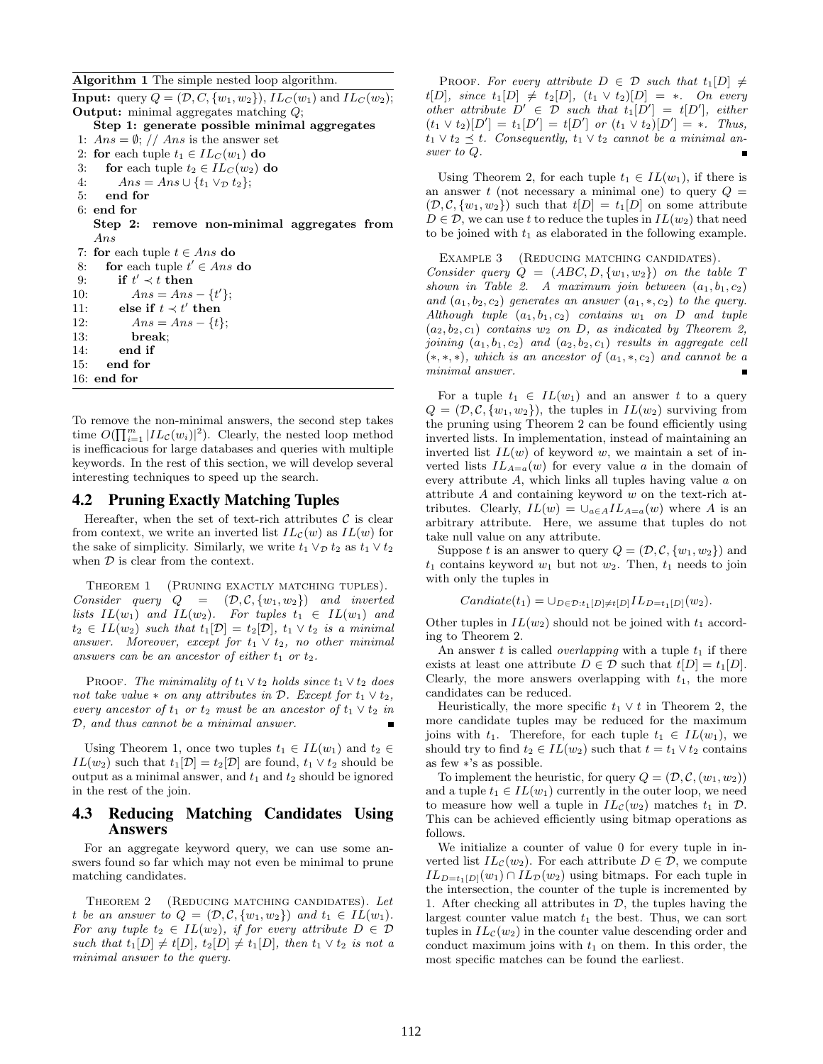Algorithm 1 The simple nested loop algorithm.

**Input:** query  $Q = (\mathcal{D}, C, \{w_1, w_2\})$ ,  $IL_C(w_1)$  and  $IL_C(w_2)$ ; Output: minimal aggregates matching Q; Step 1: generate possible minimal aggregates 1:  $Ans = \emptyset$ ; // Ans is the answer set 2: for each tuple  $t_1 \in IL_C(w_1)$  do 3: for each tuple  $t_2 \in IL_C(w_2)$  do 4:  $Ans = Ans \cup \{t_1 \vee_D t_2\};$ 5: end for 6: end for Step 2: remove non-minimal aggregates from Ans 7: for each tuple  $t \in Ans$  do 8: for each tuple  $t' \in Ans$  do 9: if  $t' \prec t$  then 10:  $Ans = Ans - \{t'\};$ 11: else if  $t \prec t'$  then 12:  $Ans = Ans - \{t\};$ 13: break; 14: end if 15: end for 16: end for

To remove the non-minimal answers, the second step takes To remove the non-minimal answers, the second step takes<br>time  $O(\prod_{i=1}^m |IL_{\mathcal{C}}(w_i)|^2)$ . Clearly, the nested loop method is inefficacious for large databases and queries with multiple keywords. In the rest of this section, we will develop several interesting techniques to speed up the search.

### 4.2 Pruning Exactly Matching Tuples

Hereafter, when the set of text-rich attributes  $\mathcal C$  is clear from context, we write an inverted list  $IL_{\mathcal{C}}(w)$  as  $IL(w)$  for the sake of simplicity. Similarly, we write  $t_1 \vee_{\mathcal{D}} t_2$  as  $t_1 \vee t_2$ when  $D$  is clear from the context.

THEOREM 1 (PRUNING EXACTLY MATCHING TUPLES). Consider query  $Q = (\mathcal{D}, \mathcal{C}, \{w_1, w_2\})$  and inverted lists  $IL(w_1)$  and  $IL(w_2)$ . For tuples  $t_1 \in IL(w_1)$  and  $t_2 \in IL(w_2)$  such that  $t_1[\mathcal{D}] = t_2[\mathcal{D}], t_1 \vee t_2$  is a minimal answer. Moreover, except for  $t_1 \vee t_2$ , no other minimal answers can be an ancestor of either  $t_1$  or  $t_2$ .

PROOF. The minimality of  $t_1 \vee t_2$  holds since  $t_1 \vee t_2$  does not take value  $*$  on any attributes in  $D$ . Except for  $t_1 \vee t_2$ , every ancestor of  $t_1$  or  $t_2$  must be an ancestor of  $t_1 \vee t_2$  in D, and thus cannot be a minimal answer.

Using Theorem 1, once two tuples  $t_1 \in IL(w_1)$  and  $t_2 \in$  $IL(w_2)$  such that  $t_1[\mathcal{D}] = t_2[\mathcal{D}]$  are found,  $t_1 \vee t_2$  should be output as a minimal answer, and  $t_1$  and  $t_2$  should be ignored in the rest of the join.

# 4.3 Reducing Matching Candidates Using Answers

For an aggregate keyword query, we can use some answers found so far which may not even be minimal to prune matching candidates.

THEOREM 2 (REDUCING MATCHING CANDIDATES). Let t be an answer to  $Q = (\mathcal{D}, \mathcal{C}, \{w_1, w_2\})$  and  $t_1 \in IL(w_1)$ . For any tuple  $t_2 \in IL(w_2)$ , if for every attribute  $D \in \mathcal{D}$ such that  $t_1[D] \neq t[D], t_2[D] \neq t_1[D],$  then  $t_1 \vee t_2$  is not a minimal answer to the query.

PROOF. For every attribute  $D \in \mathcal{D}$  such that  $t_1[D] \neq$  $t[D], \; since \; t_1[D] \neq t_2[D], \; (t_1 \vee t_2)[D] = *$ . On every other attribute  $D' \in \mathcal{D}$  such that  $t_1[D'] = t[D']$ , either  $(t_1 \vee t_2)[D'] = t_1[D'] = t[D']$  or  $(t_1 \vee t_2)[D'] = *$ . Thus,  $t_1 \vee t_2 \preceq t$ . Consequently,  $t_1 \vee t_2$  cannot be a minimal answer to Q.

Using Theorem 2, for each tuple  $t_1 \in IL(w_1)$ , if there is an answer t (not necessary a minimal one) to query  $Q =$  $(\mathcal{D}, \mathcal{C}, \{w_1, w_2\})$  such that  $t[D] = t_1[D]$  on some attribute  $D \in \mathcal{D}$ , we can use t to reduce the tuples in  $IL(w_2)$  that need to be joined with  $t_1$  as elaborated in the following example.

Example 3 (Reducing matching candidates). Consider query  $Q = (ABC, D, \{w_1, w_2\})$  on the table T shown in Table 2. A maximum join between  $(a_1, b_1, c_2)$ and  $(a_1, b_2, c_2)$  generates an answer  $(a_1, \ast, c_2)$  to the query. Although tuple  $(a_1, b_1, c_2)$  contains  $w_1$  on D and tuple  $(a_2, b_2, c_1)$  contains  $w_2$  on D, as indicated by Theorem 2, joining  $(a_1, b_1, c_2)$  and  $(a_2, b_2, c_1)$  results in aggregate cell  $(*,*,*)$ , which is an ancestor of  $(a_1,*,c_2)$  and cannot be a minimal answer.

For a tuple  $t_1 \in IL(w_1)$  and an answer t to a query  $Q = (\mathcal{D}, \mathcal{C}, \{w_1, w_2\})$ , the tuples in  $IL(w_2)$  surviving from the pruning using Theorem 2 can be found efficiently using inverted lists. In implementation, instead of maintaining an inverted list  $IL(w)$  of keyword w, we maintain a set of inverted lists  $IL_{A=a}(w)$  for every value a in the domain of every attribute A, which links all tuples having value a on attribute A and containing keyword w on the text-rich attributes. Clearly,  $IL(w) = \bigcup_{a \in A} IL_{A=a}(w)$  where A is an arbitrary attribute. Here, we assume that tuples do not take null value on any attribute.

Suppose t is an answer to query  $Q = (\mathcal{D}, \mathcal{C}, \{w_1, w_2\})$  and  $t_1$  contains keyword  $w_1$  but not  $w_2$ . Then,  $t_1$  needs to join with only the tuples in

$$
Candiate(t_1) = \cup_{D \in \mathcal{D}:t_1[D]\neq t[D]} IL_{D=t_1[D]}(w_2).
$$

Other tuples in  $IL(w_2)$  should not be joined with  $t_1$  according to Theorem 2.

An answer t is called *overlapping* with a tuple  $t_1$  if there exists at least one attribute  $D \in \mathcal{D}$  such that  $t[D] = t_1[D]$ . Clearly, the more answers overlapping with  $t_1$ , the more candidates can be reduced.

Heuristically, the more specific  $t_1 \vee t$  in Theorem 2, the more candidate tuples may be reduced for the maximum joins with  $t_1$ . Therefore, for each tuple  $t_1 \in IL(w_1)$ , we should try to find  $t_2 \in IL(w_2)$  such that  $t = t_1 \vee t_2$  contains as few ∗'s as possible.

To implement the heuristic, for query  $Q = (\mathcal{D}, \mathcal{C}, (w_1, w_2))$ and a tuple  $t_1 \in IL(w_1)$  currently in the outer loop, we need to measure how well a tuple in  $IL_{\mathcal{C}}(w_2)$  matches  $t_1$  in  $\mathcal{D}$ . This can be achieved efficiently using bitmap operations as follows.

We initialize a counter of value 0 for every tuple in inverted list  $IL_{\mathcal{C}}(w_2)$ . For each attribute  $D \in \mathcal{D}$ , we compute  $IL_{D=t_1[D]}(w_1) \cap IL_{\mathcal{D}}(w_2)$  using bitmaps. For each tuple in the intersection, the counter of the tuple is incremented by 1. After checking all attributes in  $D$ , the tuples having the largest counter value match  $t_1$  the best. Thus, we can sort tuples in  $IL_{\mathcal{C}}(w_2)$  in the counter value descending order and conduct maximum joins with  $t_1$  on them. In this order, the most specific matches can be found the earliest.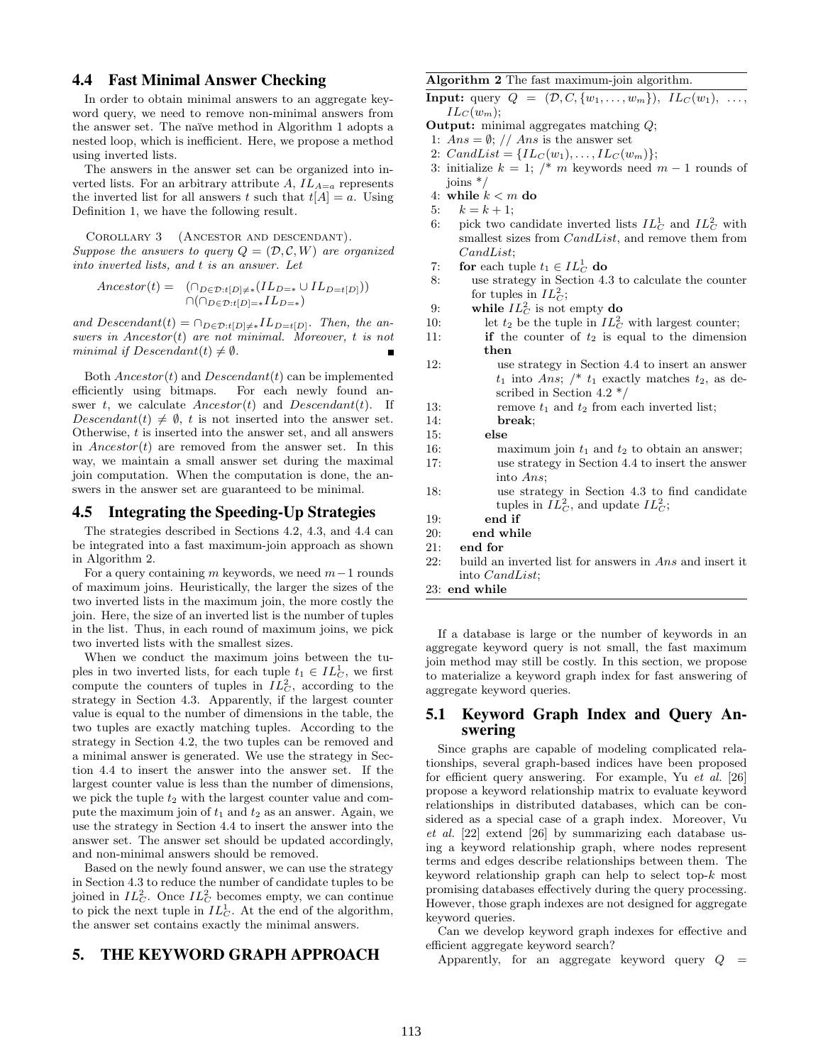# 4.4 Fast Minimal Answer Checking

In order to obtain minimal answers to an aggregate keyword query, we need to remove non-minimal answers from the answer set. The na¨ıve method in Algorithm 1 adopts a nested loop, which is inefficient. Here, we propose a method using inverted lists.

The answers in the answer set can be organized into inverted lists. For an arbitrary attribute  $A, IL_{A=a}$  represents the inverted list for all answers t such that  $t[A] = a$ . Using Definition 1, we have the following result.

Corollary 3 (Ancestor and descendant). Suppose the answers to query  $Q = (\mathcal{D}, \mathcal{C}, W)$  are organized into inverted lists, and t is an answer. Let

$$
Ancestor(t) = \bigcap_{D \in \mathcal{D}: t[D] \neq *} (IL_{D = *} \cup IL_{D = t[D]})\big)
$$
  

$$
\bigcap (\bigcap_{D \in \mathcal{D}: t[D] = *} IL_{D = *})
$$

and Descendant(t) =  $\cap_{D \in \mathcal{D}:t[D]\neq *} IL_{D=t[D]}$ . Then, the answers in Ancestor(t) are not minimal. Moreover, t is not minimal if  $Descendant(t) \neq \emptyset$ .

Both  $Ancestor(t)$  and  $Descendant(t)$  can be implemented efficiently using bitmaps. For each newly found answer t, we calculate  $Ancestor(t)$  and  $Descendant(t)$ . If Descendant(t)  $\neq \emptyset$ , t is not inserted into the answer set. Otherwise, t is inserted into the answer set, and all answers in  $Ancestor(t)$  are removed from the answer set. In this way, we maintain a small answer set during the maximal join computation. When the computation is done, the answers in the answer set are guaranteed to be minimal.

# 4.5 Integrating the Speeding-Up Strategies

The strategies described in Sections 4.2, 4.3, and 4.4 can be integrated into a fast maximum-join approach as shown in Algorithm 2.

For a query containing m keywords, we need  $m-1$  rounds of maximum joins. Heuristically, the larger the sizes of the two inverted lists in the maximum join, the more costly the join. Here, the size of an inverted list is the number of tuples in the list. Thus, in each round of maximum joins, we pick two inverted lists with the smallest sizes.

When we conduct the maximum joins between the tuples in two inverted lists, for each tuple  $t_1 \in IL_C^1$ , we first compute the counters of tuples in  $IL_C^2$ , according to the strategy in Section 4.3. Apparently, if the largest counter value is equal to the number of dimensions in the table, the two tuples are exactly matching tuples. According to the strategy in Section 4.2, the two tuples can be removed and a minimal answer is generated. We use the strategy in Section 4.4 to insert the answer into the answer set. If the largest counter value is less than the number of dimensions, we pick the tuple  $t_2$  with the largest counter value and compute the maximum join of  $t_1$  and  $t_2$  as an answer. Again, we use the strategy in Section 4.4 to insert the answer into the answer set. The answer set should be updated accordingly, and non-minimal answers should be removed.

Based on the newly found answer, we can use the strategy in Section 4.3 to reduce the number of candidate tuples to be joined in  $IL_C^2$ . Once  $IL_C^2$  becomes empty, we can continue to pick the next tuple in  $IL_C^1$ . At the end of the algorithm, the answer set contains exactly the minimal answers.

# 5. THE KEYWORD GRAPH APPROACH

### Algorithm 2 The fast maximum-join algorithm.

**Input:** query  $Q = (\mathcal{D}, C, \{w_1, \ldots, w_m\})$ ,  $IL_C(w_1), \ldots$ ,  $IL_C(w_m);$ 

- Output: minimal aggregates matching Q;
- 1:  $Ans = \emptyset$ ; // Ans is the answer set
- 2:  $CandList = \{IL_C(w_1), \ldots, IL_C(w_m)\};$
- 3: initialize  $k = 1$ ; /\* m keywords need  $m 1$  rounds of joins \*/
- 4: while  $k < m$  do
- 5:  $k = k + 1$ ;
- 6: pick two candidate inverted lists  $IL_C^1$  and  $IL_C^2$  with smallest sizes from CandList, and remove them from CandList;
- 7: for each tuple  $t_1 \in IL_C^1$  do
- 8: use strategy in Section 4.3 to calculate the counter for tuples in  $IL_C^2$ ;
- 9: while  $IL_C^2$  is not empty do
- 10: let  $t_2$  be the tuple in  $IL_C^2$  with largest counter;
- 11: **if** the counter of  $t_2$  is equal to the dimension then
- 12: use strategy in Section 4.4 to insert an answer  $t_1$  into Ans;  $\frac{1}{2}$  t<sub>1</sub> exactly matches  $t_2$ , as described in Section 4.2 \*/ 13: remove  $t_1$  and  $t_2$  from each inverted list; 14: break; 15: else 16: maximum join  $t_1$  and  $t_2$  to obtain an answer; 17: use strategy in Section 4.4 to insert the answer into Ans; 18: use strategy in Section 4.3 to find candidate tuples in  $IL_C^2$ , and update  $IL_C^2$ ; 19: end if 20: end while
- 21: end for
- 22: build an inverted list for answers in Ans and insert it into CandList;

23: end while

If a database is large or the number of keywords in an aggregate keyword query is not small, the fast maximum join method may still be costly. In this section, we propose to materialize a keyword graph index for fast answering of aggregate keyword queries.

# 5.1 Keyword Graph Index and Query Answering

Since graphs are capable of modeling complicated relationships, several graph-based indices have been proposed for efficient query answering. For example, Yu et al. [26] propose a keyword relationship matrix to evaluate keyword relationships in distributed databases, which can be considered as a special case of a graph index. Moreover, Vu et al. [22] extend [26] by summarizing each database using a keyword relationship graph, where nodes represent terms and edges describe relationships between them. The keyword relationship graph can help to select top- $k$  most promising databases effectively during the query processing. However, those graph indexes are not designed for aggregate keyword queries.

Can we develop keyword graph indexes for effective and efficient aggregate keyword search?

Apparently, for an aggregate keyword query  $Q =$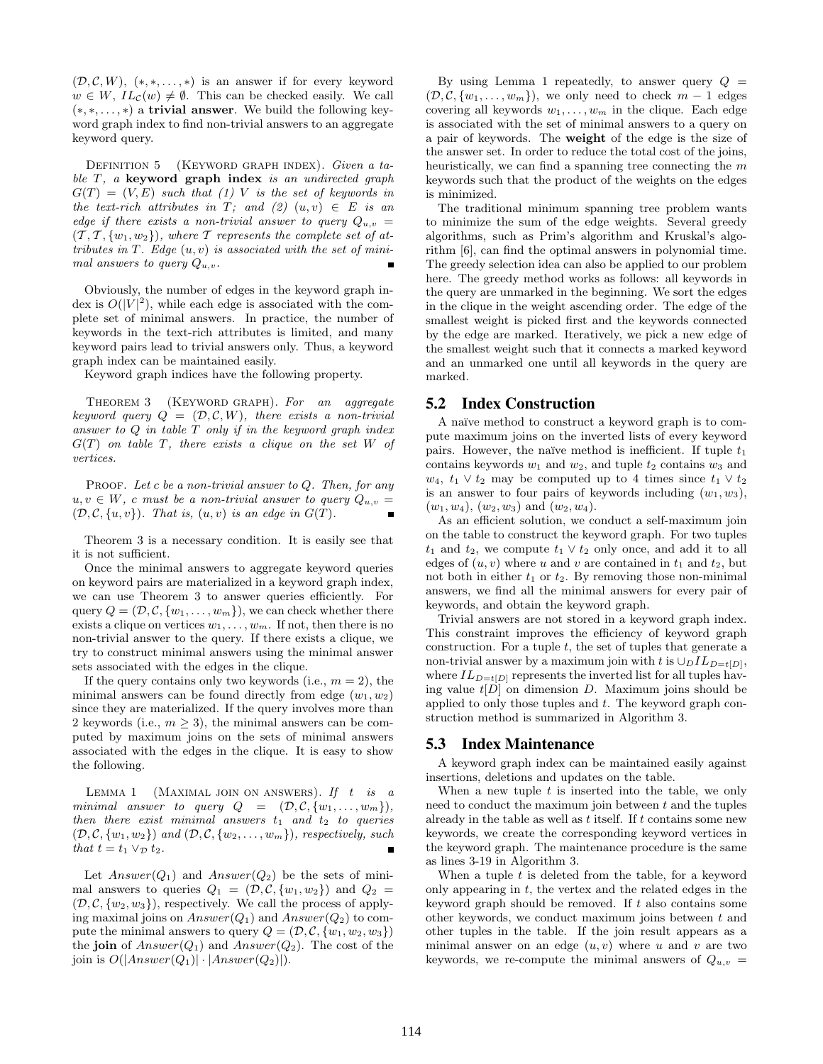$(\mathcal{D}, \mathcal{C}, W)$ ,  $(*, *, \ldots, *)$  is an answer if for every keyword  $w \in W$ ,  $IL_{\mathcal{C}}(w) \neq \emptyset$ . This can be checked easily. We call  $(*, *, \ldots, *)$  a **trivial answer**. We build the following keyword graph index to find non-trivial answers to an aggregate keyword query.

DEFINITION 5 (KEYWORD GRAPH INDEX). Given a table  $T$ , a keyword graph index is an undirected graph  $G(T) = (V, E)$  such that (1) V is the set of keywords in the text-rich attributes in T; and  $(2)$   $(u, v) \in E$  is an edge if there exists a non-trivial answer to query  $Q_{u,v} =$  $(T, T, \{w_1, w_2\})$ , where T represents the complete set of attributes in  $T$ . Edge  $(u, v)$  is associated with the set of minimal answers to query  $Q_{u,v}$ .

Obviously, the number of edges in the keyword graph index is  $O(|V|^2)$ , while each edge is associated with the complete set of minimal answers. In practice, the number of keywords in the text-rich attributes is limited, and many keyword pairs lead to trivial answers only. Thus, a keyword graph index can be maintained easily.

Keyword graph indices have the following property.

THEOREM 3 (KEYWORD GRAPH). For an aggregate keyword query  $Q = (\mathcal{D}, \mathcal{C}, W)$ , there exists a non-trivial answer to  $Q$  in table  $T$  only if in the keyword graph index  $G(T)$  on table T, there exists a clique on the set W of vertices.

PROOF. Let c be a non-trivial answer to  $Q$ . Then, for any  $u, v \in W$ , c must be a non-trivial answer to query  $Q_{u,v} =$  $(\mathcal{D}, \mathcal{C}, \{u, v\})$ . That is,  $(u, v)$  is an edge in  $G(T)$ .

Theorem 3 is a necessary condition. It is easily see that it is not sufficient.

Once the minimal answers to aggregate keyword queries on keyword pairs are materialized in a keyword graph index, we can use Theorem 3 to answer queries efficiently. For query  $Q = (\mathcal{D}, \mathcal{C}, \{w_1, \ldots, w_m\})$ , we can check whether there exists a clique on vertices  $w_1, \ldots, w_m$ . If not, then there is no non-trivial answer to the query. If there exists a clique, we try to construct minimal answers using the minimal answer sets associated with the edges in the clique.

If the query contains only two keywords (i.e.,  $m = 2$ ), the minimal answers can be found directly from edge  $(w_1, w_2)$ since they are materialized. If the query involves more than 2 keywords (i.e.,  $m \geq 3$ ), the minimal answers can be computed by maximum joins on the sets of minimal answers associated with the edges in the clique. It is easy to show the following.

LEMMA 1 (MAXIMAL JOIN ON ANSWERS). If  $t$  is a minimal answer to query  $Q = (\mathcal{D}, \mathcal{C}, \{w_1, \ldots, w_m\}),$ then there exist minimal answers  $t_1$  and  $t_2$  to queries  $(\mathcal{D}, \mathcal{C}, \{w_1, w_2\})$  and  $(\mathcal{D}, \mathcal{C}, \{w_2, \ldots, w_m\})$ , respectively, such that  $t = t_1 \vee_{\mathcal{D}} t_2$ .

Let  $Answer(Q_1)$  and  $Answer(Q_2)$  be the sets of minimal answers to queries  $Q_1 = (\mathcal{D}, \mathcal{C}, \{w_1, w_2\})$  and  $Q_2$  $(\mathcal{D}, \mathcal{C}, \{w_2, w_3\})$ , respectively. We call the process of applying maximal joins on  $Answer(Q_1)$  and  $Answer(Q_2)$  to compute the minimal answers to query  $Q = (\mathcal{D}, \mathcal{C}, \{w_1, w_2, w_3\})$ the join of  $Answer(Q_1)$  and  $Answer(Q_2)$ . The cost of the join is  $O(|Answer(Q_1)| \cdot |Answer(Q_2)|)$ .

By using Lemma 1 repeatedly, to answer query  $Q =$  $(\mathcal{D}, \mathcal{C}, \{w_1, \ldots, w_m\})$ , we only need to check  $m-1$  edges covering all keywords  $w_1, \ldots, w_m$  in the clique. Each edge is associated with the set of minimal answers to a query on a pair of keywords. The weight of the edge is the size of the answer set. In order to reduce the total cost of the joins, heuristically, we can find a spanning tree connecting the m keywords such that the product of the weights on the edges is minimized.

The traditional minimum spanning tree problem wants to minimize the sum of the edge weights. Several greedy algorithms, such as Prim's algorithm and Kruskal's algorithm [6], can find the optimal answers in polynomial time. The greedy selection idea can also be applied to our problem here. The greedy method works as follows: all keywords in the query are unmarked in the beginning. We sort the edges in the clique in the weight ascending order. The edge of the smallest weight is picked first and the keywords connected by the edge are marked. Iteratively, we pick a new edge of the smallest weight such that it connects a marked keyword and an unmarked one until all keywords in the query are marked.

#### 5.2 Index Construction

A naïve method to construct a keyword graph is to compute maximum joins on the inverted lists of every keyword pairs. However, the naïve method is inefficient. If tuple  $t_1$ contains keywords  $w_1$  and  $w_2$ , and tuple  $t_2$  contains  $w_3$  and w<sub>4</sub>,  $t_1 \vee t_2$  may be computed up to 4 times since  $t_1 \vee t_2$ is an answer to four pairs of keywords including  $(w_1, w_3)$ ,  $(w_1, w_4), (w_2, w_3)$  and  $(w_2, w_4)$ .

As an efficient solution, we conduct a self-maximum join on the table to construct the keyword graph. For two tuples  $t_1$  and  $t_2$ , we compute  $t_1 \vee t_2$  only once, and add it to all edges of  $(u, v)$  where u and v are contained in  $t_1$  and  $t_2$ , but not both in either  $t_1$  or  $t_2$ . By removing those non-minimal answers, we find all the minimal answers for every pair of keywords, and obtain the keyword graph.

Trivial answers are not stored in a keyword graph index. This constraint improves the efficiency of keyword graph construction. For a tuple  $t$ , the set of tuples that generate a non-trivial answer by a maximum join with t is  $\cup_D IL_{D=t(D)}$ , where  $IL_{D=t[D]}$  represents the inverted list for all tuples having value  $t[D]$  on dimension D. Maximum joins should be applied to only those tuples and t. The keyword graph construction method is summarized in Algorithm 3.

### 5.3 Index Maintenance

A keyword graph index can be maintained easily against insertions, deletions and updates on the table.

When a new tuple  $t$  is inserted into the table, we only need to conduct the maximum join between  $t$  and the tuples already in the table as well as  $t$  itself. If  $t$  contains some new keywords, we create the corresponding keyword vertices in the keyword graph. The maintenance procedure is the same as lines 3-19 in Algorithm 3.

When a tuple  $t$  is deleted from the table, for a keyword only appearing in  $t$ , the vertex and the related edges in the keyword graph should be removed. If  $t$  also contains some other keywords, we conduct maximum joins between  $t$  and other tuples in the table. If the join result appears as a minimal answer on an edge  $(u, v)$  where u and v are two keywords, we re-compute the minimal answers of  $Q_{u,v}$  =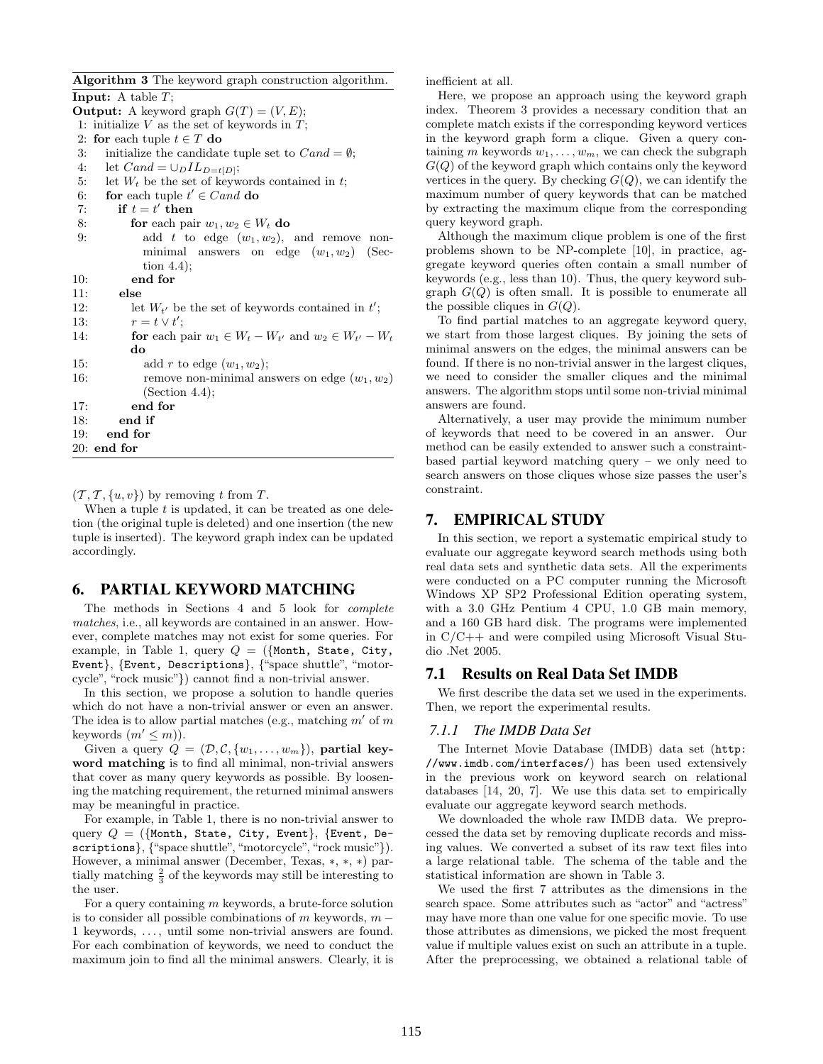Algorithm 3 The keyword graph construction algorithm.

**Input:** A table  $T$ ; **Output:** A keyword graph  $G(T) = (V, E);$ 1: initialize  $V$  as the set of keywords in  $T$ ; 2: for each tuple  $t \in T$  do 3: initialize the candidate tuple set to  $Cand = \emptyset$ ; 4: let  $Cand = \bigcup_D IL_{D=t[D]};$ 5: let  $W_t$  be the set of keywords contained in t; 6: for each tuple  $t' \in C$  and do 7: if  $t = t'$  then 8: **for** each pair  $w_1, w_2 \in W_t$  **do** 9: add t to edge  $(w_1, w_2)$ , and remove nonminimal answers on edge  $(w_1, w_2)$  (Section 4.4); 10: end for 11: else 12: let  $W_{t'}$  be the set of keywords contained in  $t'$ ; 13:  $r = t \vee t';$ 14: **for** each pair  $w_1 \in W_t - W_{t'}$  and  $w_2 \in W_{t'} - W_t$ do 15: add r to edge  $(w_1, w_2)$ ; 16: remove non-minimal answers on edge  $(w_1, w_2)$ (Section 4.4); 17: end for 18: end if 19: end for 20: end for

 $(T, T, \{u, v\})$  by removing t from T.

When a tuple  $t$  is updated, it can be treated as one deletion (the original tuple is deleted) and one insertion (the new tuple is inserted). The keyword graph index can be updated accordingly.

# 6. PARTIAL KEYWORD MATCHING

The methods in Sections 4 and 5 look for complete matches, i.e., all keywords are contained in an answer. However, complete matches may not exist for some queries. For example, in Table 1, query  $Q = (\{ \text{Month}, \text{State}, \text{City}, \text{}%)$ Event}, {Event, Descriptions}, {"space shuttle", "motorcycle", "rock music"}) cannot find a non-trivial answer.

In this section, we propose a solution to handle queries which do not have a non-trivial answer or even an answer. The idea is to allow partial matches (e.g., matching  $m'$  of m keywords  $(m' \leq m)$ .

Given a query  $Q = (\mathcal{D}, \mathcal{C}, \{w_1, \ldots, w_m\})$ , partial keyword matching is to find all minimal, non-trivial answers that cover as many query keywords as possible. By loosening the matching requirement, the returned minimal answers may be meaningful in practice.

For example, in Table 1, there is no non-trivial answer to query  $Q = (\{Month, State, City, Event\}, \{Event, De$ scriptions}, {"space shuttle", "motorcycle", "rock music"}). However, a minimal answer (December, Texas, ∗, ∗, ∗) partially matching  $\frac{2}{3}$  of the keywords may still be interesting to the user.

For a query containing  $m$  keywords, a brute-force solution is to consider all possible combinations of m keywords,  $m -$ 1 keywords, . . . , until some non-trivial answers are found. For each combination of keywords, we need to conduct the maximum join to find all the minimal answers. Clearly, it is inefficient at all.

Here, we propose an approach using the keyword graph index. Theorem 3 provides a necessary condition that an complete match exists if the corresponding keyword vertices in the keyword graph form a clique. Given a query containing m keywords  $w_1, \ldots, w_m$ , we can check the subgraph  $G(Q)$  of the keyword graph which contains only the keyword vertices in the query. By checking  $G(Q)$ , we can identify the maximum number of query keywords that can be matched by extracting the maximum clique from the corresponding query keyword graph.

Although the maximum clique problem is one of the first problems shown to be NP-complete [10], in practice, aggregate keyword queries often contain a small number of keywords (e.g., less than 10). Thus, the query keyword subgraph  $G(Q)$  is often small. It is possible to enumerate all the possible cliques in  $G(Q)$ .

To find partial matches to an aggregate keyword query, we start from those largest cliques. By joining the sets of minimal answers on the edges, the minimal answers can be found. If there is no non-trivial answer in the largest cliques, we need to consider the smaller cliques and the minimal answers. The algorithm stops until some non-trivial minimal answers are found.

Alternatively, a user may provide the minimum number of keywords that need to be covered in an answer. Our method can be easily extended to answer such a constraintbased partial keyword matching query – we only need to search answers on those cliques whose size passes the user's constraint.

# 7. EMPIRICAL STUDY

In this section, we report a systematic empirical study to evaluate our aggregate keyword search methods using both real data sets and synthetic data sets. All the experiments were conducted on a PC computer running the Microsoft Windows XP SP2 Professional Edition operating system, with a 3.0 GHz Pentium 4 CPU, 1.0 GB main memory, and a 160 GB hard disk. The programs were implemented in C/C++ and were compiled using Microsoft Visual Studio .Net 2005.

# 7.1 Results on Real Data Set IMDB

We first describe the data set we used in the experiments. Then, we report the experimental results.

#### *7.1.1 The IMDB Data Set*

The Internet Movie Database (IMDB) data set (http: //www.imdb.com/interfaces/) has been used extensively in the previous work on keyword search on relational databases [14, 20, 7]. We use this data set to empirically evaluate our aggregate keyword search methods.

We downloaded the whole raw IMDB data. We preprocessed the data set by removing duplicate records and missing values. We converted a subset of its raw text files into a large relational table. The schema of the table and the statistical information are shown in Table 3.

We used the first 7 attributes as the dimensions in the search space. Some attributes such as "actor" and "actress" may have more than one value for one specific movie. To use those attributes as dimensions, we picked the most frequent value if multiple values exist on such an attribute in a tuple. After the preprocessing, we obtained a relational table of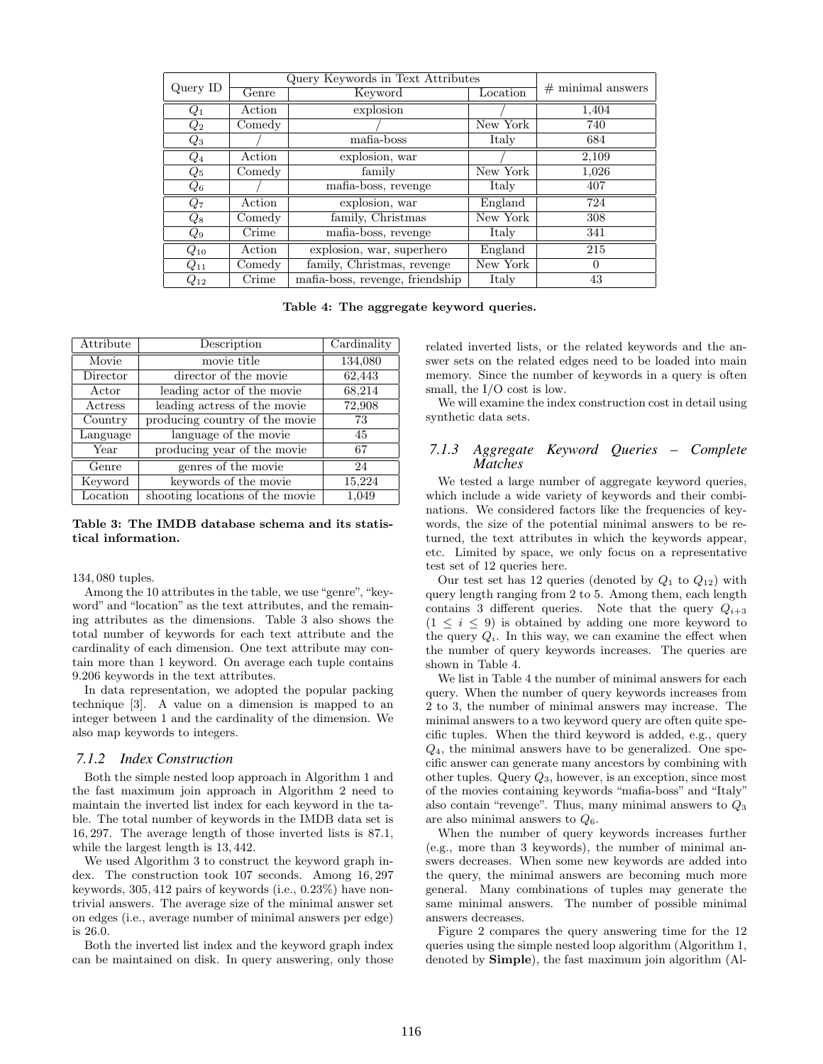|                                       |                                      | Query Keywords in Text Attributes |          |                     |
|---------------------------------------|--------------------------------------|-----------------------------------|----------|---------------------|
| Query ID                              | Genre<br>Keyword                     |                                   | Location | $#$ minimal answers |
| $\hspace{0.05cm} Q_1 \hspace{0.05cm}$ | Action                               | explosion                         |          | 1,404               |
| $Q_2$                                 | Comedy                               |                                   | New York | 740                 |
| $Q_3$                                 |                                      | mafia-boss                        | Italy    | 684                 |
| $\emph{Q}_{4}$                        | Action                               | explosion, war                    |          | 2,109               |
| $Q_5$                                 | Comedy                               | family                            | New York | 1,026               |
| $Q_6$                                 |                                      | mafia-boss, revenge               | Italy    | 407                 |
| $Q_7$                                 | Action                               | explosion, war                    | England  | 724                 |
| $Q_8$                                 | Comedy                               | family, Christmas                 | New York | 308                 |
| $Q_9$                                 | Crime                                | mafia-boss, revenge               | Italy    | 341                 |
| $Q_{10}$                              | Action                               | explosion, war, superhero         | England  | 215                 |
| $Q_{11}$                              | family, Christmas, revenge<br>Comedy |                                   | New York | 0                   |
| $Q_{12}$                              | Crime                                | mafia-boss, revenge, friendship   | Italy    | 43                  |

Table 4: The aggregate keyword queries.

| Attribute | Description                     | Cardinality |
|-----------|---------------------------------|-------------|
| Movie     | movie title                     | 134,080     |
| Director  | director of the movie           | 62,443      |
| Actor     | leading actor of the movie      | 68,214      |
| Actress   | leading actress of the movie    | 72,908      |
| Country   | producing country of the movie  | 73          |
| Language  | language of the movie           | 45          |
| Year      | producing year of the movie     | 67          |
| Genre     | genres of the movie             | 24          |
| Keyword   | keywords of the movie           | 15,224      |
| Location  | shooting locations of the movie | 1,049       |

Table 3: The IMDB database schema and its statistical information.

#### 134, 080 tuples.

Among the 10 attributes in the table, we use "genre", "keyword" and "location" as the text attributes, and the remaining attributes as the dimensions. Table 3 also shows the total number of keywords for each text attribute and the cardinality of each dimension. One text attribute may contain more than 1 keyword. On average each tuple contains 9.206 keywords in the text attributes.

In data representation, we adopted the popular packing technique [3]. A value on a dimension is mapped to an integer between 1 and the cardinality of the dimension. We also map keywords to integers.

#### *7.1.2 Index Construction*

Both the simple nested loop approach in Algorithm 1 and the fast maximum join approach in Algorithm 2 need to maintain the inverted list index for each keyword in the table. The total number of keywords in the IMDB data set is 16, 297. The average length of those inverted lists is 87.1, while the largest length is 13, 442.

We used Algorithm 3 to construct the keyword graph index. The construction took 107 seconds. Among 16, 297 keywords, 305, 412 pairs of keywords (i.e., 0.23%) have nontrivial answers. The average size of the minimal answer set on edges (i.e., average number of minimal answers per edge) is 26.0.

Both the inverted list index and the keyword graph index can be maintained on disk. In query answering, only those related inverted lists, or the related keywords and the answer sets on the related edges need to be loaded into main memory. Since the number of keywords in a query is often small, the I/O cost is low.

We will examine the index construction cost in detail using synthetic data sets.

# *7.1.3 Aggregate Keyword Queries – Complete Matches*

We tested a large number of aggregate keyword queries, which include a wide variety of keywords and their combinations. We considered factors like the frequencies of keywords, the size of the potential minimal answers to be returned, the text attributes in which the keywords appear, etc. Limited by space, we only focus on a representative test set of 12 queries here.

Our test set has 12 queries (denoted by  $Q_1$  to  $Q_{12}$ ) with query length ranging from 2 to 5. Among them, each length contains 3 different queries. Note that the query  $Q_{i+3}$  $(1 \leq i \leq 9)$  is obtained by adding one more keyword to the query  $Q_i$ . In this way, we can examine the effect when the number of query keywords increases. The queries are shown in Table 4.

We list in Table 4 the number of minimal answers for each query. When the number of query keywords increases from 2 to 3, the number of minimal answers may increase. The minimal answers to a two keyword query are often quite specific tuples. When the third keyword is added, e.g., query  $Q_4$ , the minimal answers have to be generalized. One specific answer can generate many ancestors by combining with other tuples. Query  $Q_3$ , however, is an exception, since most of the movies containing keywords "mafia-boss" and "Italy" also contain "revenge". Thus, many minimal answers to  $Q_3$ are also minimal answers to  $Q_6$ .

When the number of query keywords increases further (e.g., more than 3 keywords), the number of minimal answers decreases. When some new keywords are added into the query, the minimal answers are becoming much more general. Many combinations of tuples may generate the same minimal answers. The number of possible minimal answers decreases.

Figure 2 compares the query answering time for the 12 queries using the simple nested loop algorithm (Algorithm 1, denoted by Simple), the fast maximum join algorithm (Al-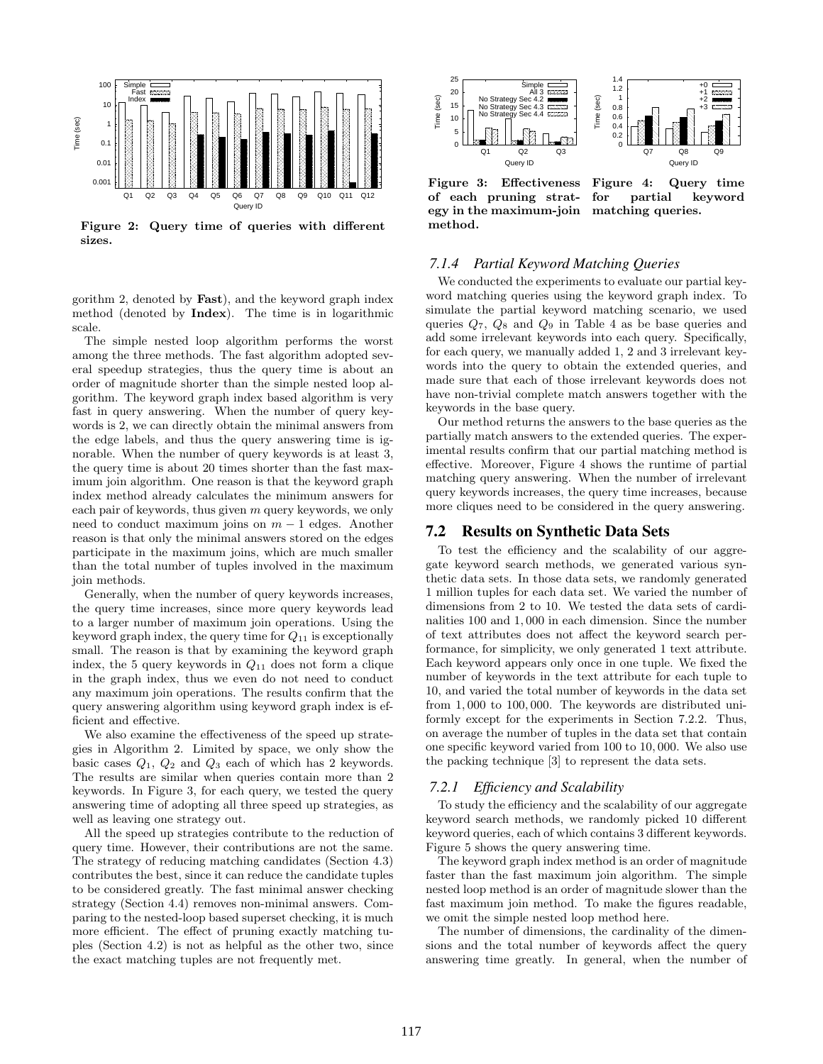

Figure 2: Query time of queries with different sizes.

gorithm 2, denoted by Fast), and the keyword graph index method (denoted by Index). The time is in logarithmic scale.

The simple nested loop algorithm performs the worst among the three methods. The fast algorithm adopted several speedup strategies, thus the query time is about an order of magnitude shorter than the simple nested loop algorithm. The keyword graph index based algorithm is very fast in query answering. When the number of query keywords is 2, we can directly obtain the minimal answers from the edge labels, and thus the query answering time is ignorable. When the number of query keywords is at least 3, the query time is about 20 times shorter than the fast maximum join algorithm. One reason is that the keyword graph index method already calculates the minimum answers for each pair of keywords, thus given  $m$  query keywords, we only need to conduct maximum joins on  $m-1$  edges. Another reason is that only the minimal answers stored on the edges participate in the maximum joins, which are much smaller than the total number of tuples involved in the maximum join methods.

Generally, when the number of query keywords increases, the query time increases, since more query keywords lead to a larger number of maximum join operations. Using the keyword graph index, the query time for  $Q_{11}$  is exceptionally small. The reason is that by examining the keyword graph index, the 5 query keywords in  $Q_{11}$  does not form a clique in the graph index, thus we even do not need to conduct any maximum join operations. The results confirm that the query answering algorithm using keyword graph index is efficient and effective.

We also examine the effectiveness of the speed up strategies in Algorithm 2. Limited by space, we only show the basic cases  $Q_1$ ,  $Q_2$  and  $Q_3$  each of which has 2 keywords. The results are similar when queries contain more than 2 keywords. In Figure 3, for each query, we tested the query answering time of adopting all three speed up strategies, as well as leaving one strategy out.

All the speed up strategies contribute to the reduction of query time. However, their contributions are not the same. The strategy of reducing matching candidates (Section 4.3) contributes the best, since it can reduce the candidate tuples to be considered greatly. The fast minimal answer checking strategy (Section 4.4) removes non-minimal answers. Comparing to the nested-loop based superset checking, it is much more efficient. The effect of pruning exactly matching tuples (Section 4.2) is not as helpful as the other two, since the exact matching tuples are not frequently met.



Figure 3: Effectiveness of each pruning strategy in the maximum-join matching queries. method.

Figure 4: Query time for partial keyword

### *7.1.4 Partial Keyword Matching Queries*

We conducted the experiments to evaluate our partial keyword matching queries using the keyword graph index. To simulate the partial keyword matching scenario, we used queries  $Q_7$ ,  $Q_8$  and  $Q_9$  in Table 4 as be base queries and add some irrelevant keywords into each query. Specifically, for each query, we manually added 1, 2 and 3 irrelevant keywords into the query to obtain the extended queries, and made sure that each of those irrelevant keywords does not have non-trivial complete match answers together with the keywords in the base query.

Our method returns the answers to the base queries as the partially match answers to the extended queries. The experimental results confirm that our partial matching method is effective. Moreover, Figure 4 shows the runtime of partial matching query answering. When the number of irrelevant query keywords increases, the query time increases, because more cliques need to be considered in the query answering.

# 7.2 Results on Synthetic Data Sets

To test the efficiency and the scalability of our aggregate keyword search methods, we generated various synthetic data sets. In those data sets, we randomly generated 1 million tuples for each data set. We varied the number of dimensions from 2 to 10. We tested the data sets of cardinalities 100 and 1, 000 in each dimension. Since the number of text attributes does not affect the keyword search performance, for simplicity, we only generated 1 text attribute. Each keyword appears only once in one tuple. We fixed the number of keywords in the text attribute for each tuple to 10, and varied the total number of keywords in the data set from 1, 000 to 100, 000. The keywords are distributed uniformly except for the experiments in Section 7.2.2. Thus, on average the number of tuples in the data set that contain one specific keyword varied from 100 to 10, 000. We also use the packing technique [3] to represent the data sets.

#### *7.2.1 Efficiency and Scalability*

To study the efficiency and the scalability of our aggregate keyword search methods, we randomly picked 10 different keyword queries, each of which contains 3 different keywords. Figure 5 shows the query answering time.

The keyword graph index method is an order of magnitude faster than the fast maximum join algorithm. The simple nested loop method is an order of magnitude slower than the fast maximum join method. To make the figures readable, we omit the simple nested loop method here.

The number of dimensions, the cardinality of the dimensions and the total number of keywords affect the query answering time greatly. In general, when the number of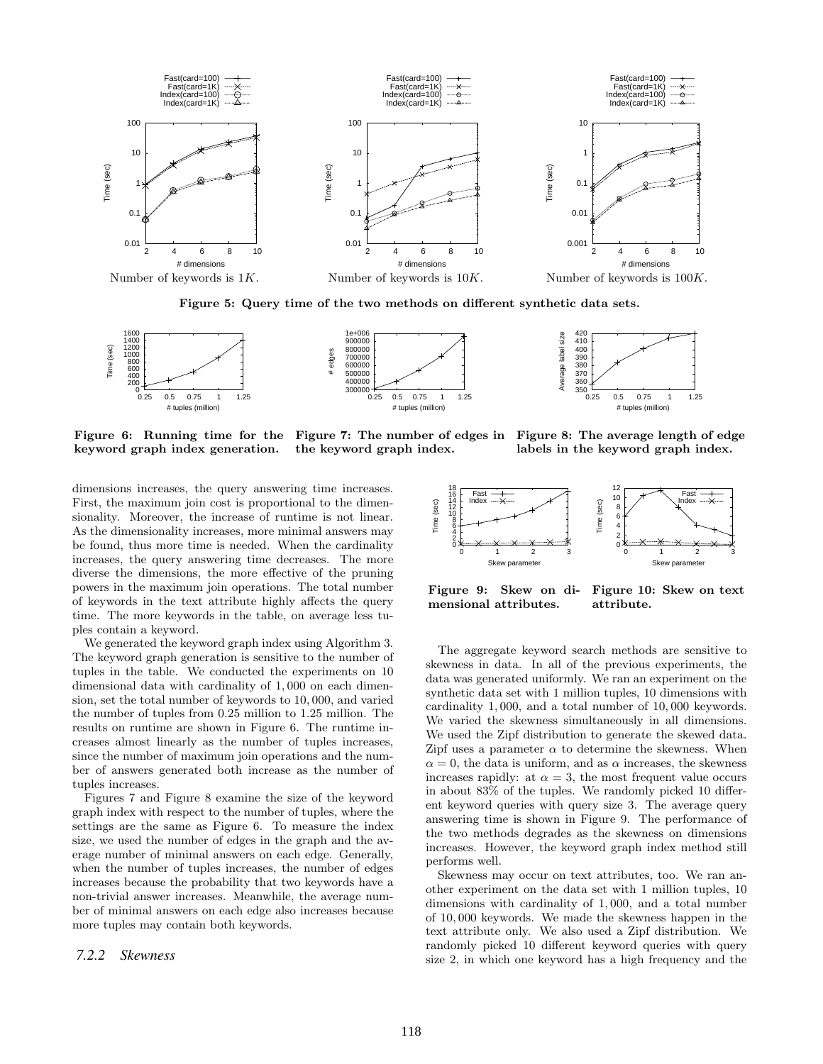

Figure 5: Query time of the two methods on different synthetic data sets.





Figure 6: Running time for the keyword graph index generation. Figure 7: The number of edges in the keyword graph index.

Figure 8: The average length of edge labels in the keyword graph index.

dimensions increases, the query answering time increases. First, the maximum join cost is proportional to the dimensionality. Moreover, the increase of runtime is not linear. As the dimensionality increases, more minimal answers may be found, thus more time is needed. When the cardinality increases, the query answering time decreases. The more diverse the dimensions, the more effective of the pruning powers in the maximum join operations. The total number of keywords in the text attribute highly affects the query time. The more keywords in the table, on average less tuples contain a keyword.

We generated the keyword graph index using Algorithm 3. The keyword graph generation is sensitive to the number of tuples in the table. We conducted the experiments on 10 dimensional data with cardinality of 1, 000 on each dimension, set the total number of keywords to 10, 000, and varied the number of tuples from 0.25 million to 1.25 million. The results on runtime are shown in Figure 6. The runtime increases almost linearly as the number of tuples increases, since the number of maximum join operations and the number of answers generated both increase as the number of tuples increases. is found, thus more time is needed. When the cardinality<br>of percenses, the query answering time decreases. The more<br>diverse the dimensions, the more effective of the pruning<br>diverse in the maximum join operations. The tot

Figures 7 and Figure 8 examine the size of the keyword graph index with respect to the number of tuples, where the settings are the same as Figure 6. To measure the index size, we used the number of edges in the graph and the average number of minimal answers on each edge. Generally, when the number of tuples increases, the number of edges increases because the probability that two keywords have a non-trivial answer increases. Meanwhile, the average number of minimal answers on each edge also increases because more tuples may contain both keywords.



Figure 9: Skew on dimensional attributes. Figure 10: Skew on text attribute.

The aggregate keyword search methods are sensitive to skewness in data. In all of the previous experiments, the data was generated uniformly. We ran an experiment on the synthetic data set with 1 million tuples, 10 dimensions with cardinality 1, 000, and a total number of 10, 000 keywords. We varied the skewness simultaneously in all dimensions. We used the Zipf distribution to generate the skewed data. Zipf uses a parameter  $\alpha$  to determine the skewness. When  $\alpha = 0$ , the data is uniform, and as  $\alpha$  increases, the skewness increases rapidly: at  $\alpha = 3$ , the most frequent value occurs in about 83% of the tuples. We randomly picked 10 different keyword queries with query size 3. The average query answering time is shown in Figure 9. The performance of the two methods degrades as the skewness on dimensions increases. However, the keyword graph index method still performs well.

Skewness may occur on text attributes, too. We ran another experiment on the data set with 1 million tuples, 10 dimensions with cardinality of 1, 000, and a total number of 10, 000 keywords. We made the skewness happen in the text attribute only. We also used a Zipf distribution. We randomly picked 10 different keyword queries with query size 2, in which one keyword has a high frequency and the